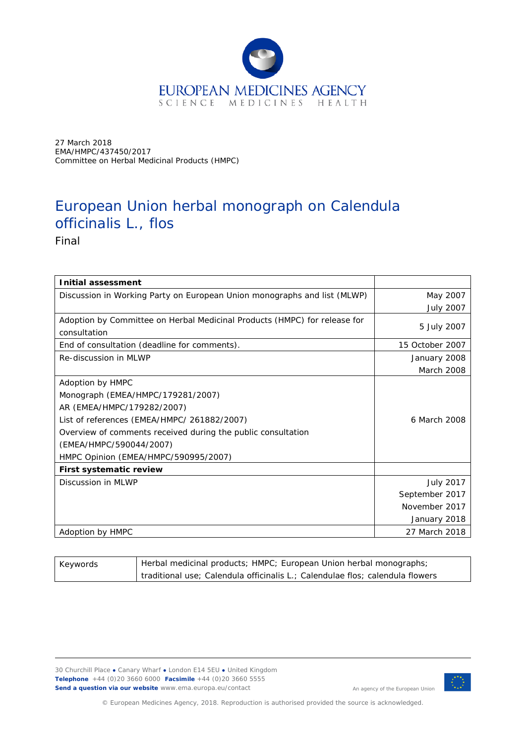

27 March 2018 EMA/HMPC/437450/2017 Committee on Herbal Medicinal Products (HMPC)

# European Union herbal monograph on *Calendula officinalis* L., flos

Final

| <b>Initial assessment</b>                                                 |                  |
|---------------------------------------------------------------------------|------------------|
| Discussion in Working Party on European Union monographs and list (MLWP)  | May 2007         |
|                                                                           | <b>July 2007</b> |
| Adoption by Committee on Herbal Medicinal Products (HMPC) for release for | 5 July 2007      |
| consultation                                                              |                  |
| End of consultation (deadline for comments).                              | 15 October 2007  |
| Re-discussion in MLWP                                                     | January 2008     |
|                                                                           | March 2008       |
| Adoption by HMPC                                                          |                  |
| Monograph (EMEA/HMPC/179281/2007)                                         |                  |
| AR (EMEA/HMPC/179282/2007)                                                |                  |
| List of references (EMEA/HMPC/ 261882/2007)                               | 6 March 2008     |
| Overview of comments received during the public consultation              |                  |
| (EMEA/HMPC/590044/2007)                                                   |                  |
| HMPC Opinion (EMEA/HMPC/590995/2007)                                      |                  |
| <b>First systematic review</b>                                            |                  |
| Discussion in MLWP                                                        | <b>July 2017</b> |
|                                                                           | September 2017   |
|                                                                           | November 2017    |
|                                                                           | January 2018     |
| Adoption by HMPC                                                          | 27 March 2018    |

Keywords **Herbal medicinal products**; HMPC; European Union herbal monographs; traditional use; *Calendula officinalis* L.; Calendulae flos; calendula flowers

30 Churchill Place **●** Canary Wharf **●** London E14 5EU **●** United Kingdom **Telephone** +44 (0)20 3660 6000 **Facsimile** +44 (0)20 3660 5555 **Send a question via our website** www.ema.europa.eu/contact



© European Medicines Agency, 2018. Reproduction is authorised provided the source is acknowledged.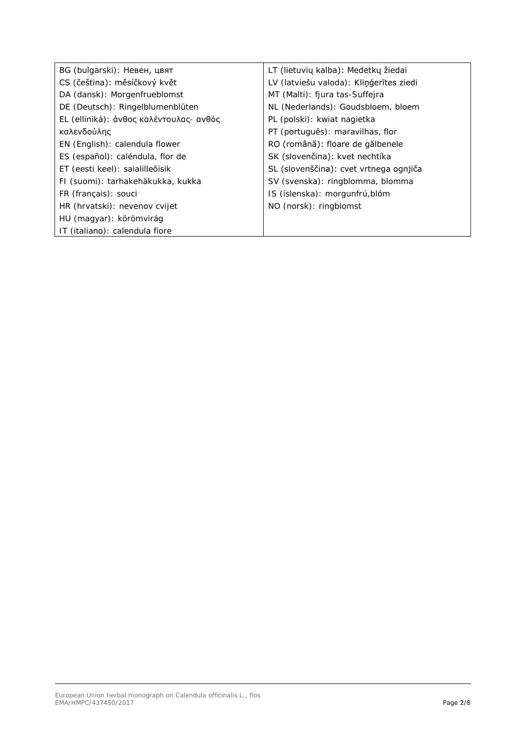| BG (bulgarski): Невен, цвят             | LT (lietuvių kalba): Medetkų žiedai     |
|-----------------------------------------|-----------------------------------------|
| CS (čeština): měsíčkový květ            | LV (latviešu valoda): Kliņģerītes ziedi |
| DA (dansk): Morgenfrueblomst            | MT (Malti): fjura tas-Suffejra          |
| DE (Deutsch): Ringelblumenblüten        | NL (Nederlands): Goudsbloem, bloem      |
| EL (elliniká): άνθος καλέντουλας- ανθός | PL (polski): kwiat nagietka             |
| καλενδούλης                             | PT (português): maravilhas, flor        |
| EN (English): calendula flower          | RO (română): floare de gălbenele        |
| ES (español): caléndula, flor de        | SK (slovenčina): kvet nechtíka          |
| ET (eesti keel): saialilleõisik         | SL (slovenščina): cvet vrtnega ognjiča  |
| FI (suomi): tarhakehäkukka, kukka       | SV (svenska): ringblomma, blomma        |
| FR (francais): souci                    | IS (íslenska): morgunfrú, blóm          |
| HR (hrvatski): nevenov cvijet           | NO (norsk): ringblomst                  |
| HU (magyar): körömvirág                 |                                         |
| IT (italiano): calendula fiore          |                                         |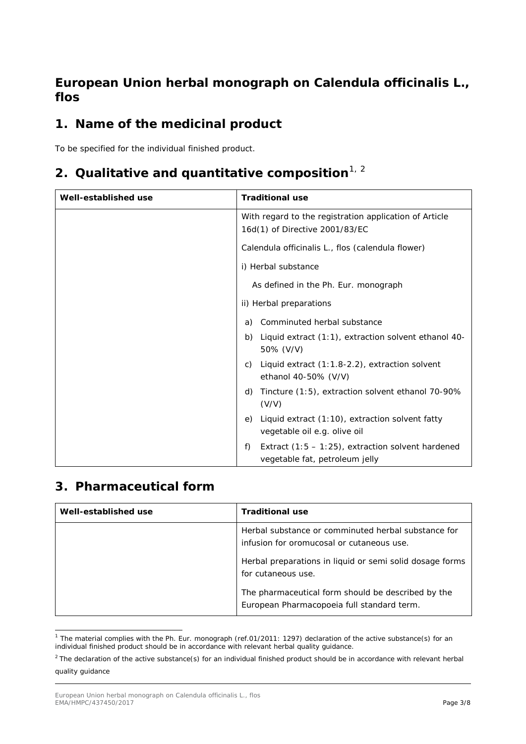### **European Union herbal monograph on** *Calendula officinalis* **L., flos**

### **1. Name of the medicinal product**

To be specified for the individual finished product.

# **2. Qualitative and quantitative composition**[1](#page-2-0), [2](#page-2-1)

| Well-established use | <b>Traditional use</b>                                                                       |
|----------------------|----------------------------------------------------------------------------------------------|
|                      | With regard to the registration application of Article<br>16d(1) of Directive 2001/83/EC     |
|                      | Calendula officinalis L., flos (calendula flower)                                            |
|                      | i) Herbal substance                                                                          |
|                      | As defined in the Ph. Eur. monograph                                                         |
|                      | ii) Herbal preparations                                                                      |
|                      | Comminuted herbal substance<br>a)                                                            |
|                      | Liquid extract (1:1), extraction solvent ethanol 40-<br>b)<br>50% (V/V)                      |
|                      | Liquid extract (1:1.8-2.2), extraction solvent<br>C)<br>ethanol 40-50% (V/V)                 |
|                      | Tincture (1:5), extraction solvent ethanol 70-90%<br>d)<br>(V/V)                             |
|                      | Liquid extract (1:10), extraction solvent fatty<br>e)<br>vegetable oil e.g. olive oil        |
|                      | Extract $(1:5 - 1:25)$ , extraction solvent hardened<br>f)<br>vegetable fat, petroleum jelly |

### **3. Pharmaceutical form**

| Well-established use | <b>Traditional use</b>                                                                                                                                                             |
|----------------------|------------------------------------------------------------------------------------------------------------------------------------------------------------------------------------|
|                      | Herbal substance or comminuted herbal substance for<br>infusion for oromucosal or cutaneous use.<br>Herbal preparations in liquid or semi solid dosage forms<br>for cutaneous use. |
|                      | The pharmaceutical form should be described by the<br>European Pharmacopoeia full standard term.                                                                                   |

<span id="page-2-0"></span><sup>&</sup>lt;sup>1</sup> The material complies with the Ph. Eur. monograph (ref.01/2011: 1297) declaration of the active substance(s) for an individual finished product should be in accordance with relevant herbal quality guidance.

<span id="page-2-1"></span> $2$  The declaration of the active substance(s) for an individual finished product should be in accordance with relevant herbal quality guidance

European Union herbal monograph on *Calendula officinalis* L., flos EMA/HMPC/437450/2017 Page 3/8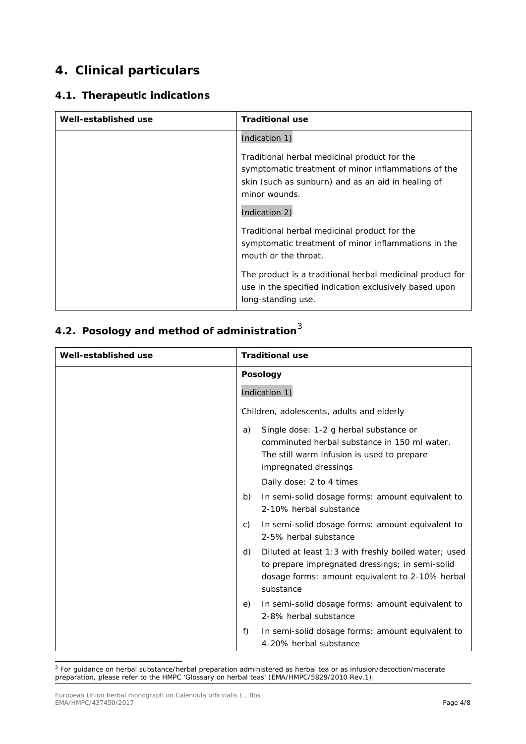### **4. Clinical particulars**

#### *4.1. Therapeutic indications*

| Well-established use | <b>Traditional use</b>                                                                                                                                                                      |
|----------------------|---------------------------------------------------------------------------------------------------------------------------------------------------------------------------------------------|
|                      | Indication 1)                                                                                                                                                                               |
|                      | Traditional herbal medicinal product for the<br>symptomatic treatment of minor inflammations of the<br>skin (such as sunburn) and as an aid in healing of<br>minor wounds.<br>Indication 2) |
|                      | Traditional herbal medicinal product for the<br>symptomatic treatment of minor inflammations in the<br>mouth or the throat.                                                                 |
|                      | The product is a traditional herbal medicinal product for<br>use in the specified indication exclusively based upon<br>long-standing use.                                                   |

### *4.2. Posology and method of administration*[3](#page-3-0)

| Well-established use | <b>Traditional use</b>                                                                                                                                                        |
|----------------------|-------------------------------------------------------------------------------------------------------------------------------------------------------------------------------|
|                      | <b>Posology</b>                                                                                                                                                               |
|                      | Indication 1)                                                                                                                                                                 |
|                      | Children, adolescents, adults and elderly                                                                                                                                     |
|                      | Single dose: 1-2 g herbal substance or<br>a)<br>comminuted herbal substance in 150 ml water.<br>The still warm infusion is used to prepare<br>impregnated dressings           |
|                      | Daily dose: 2 to 4 times                                                                                                                                                      |
|                      | b)<br>In semi-solid dosage forms: amount equivalent to<br>2-10% herbal substance                                                                                              |
|                      | In semi-solid dosage forms: amount equivalent to<br>C)<br>2-5% herbal substance                                                                                               |
|                      | Diluted at least 1:3 with freshly boiled water; used<br>d)<br>to prepare impregnated dressings; in semi-solid<br>dosage forms: amount equivalent to 2-10% herbal<br>substance |
|                      | In semi-solid dosage forms: amount equivalent to<br>e)<br>2-8% herbal substance                                                                                               |
|                      | In semi-solid dosage forms: amount equivalent to<br>f)<br>4-20% herbal substance                                                                                              |

<span id="page-3-0"></span> 3 For guidance on herbal substance/herbal preparation administered as herbal tea or as infusion/decoction/macerate preparation, please refer to the HMPC 'Glossary on herbal teas' (EMA/HMPC/5829/2010 Rev.1).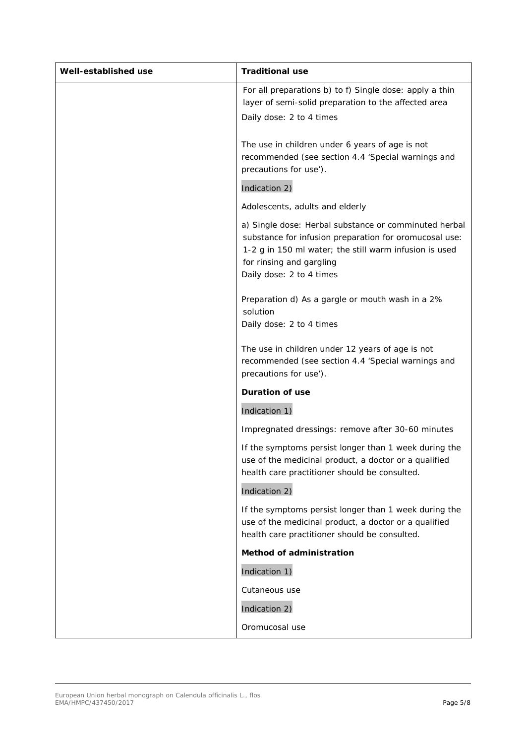| Well-established use | <b>Traditional use</b>                                                                                                                                                                                                            |
|----------------------|-----------------------------------------------------------------------------------------------------------------------------------------------------------------------------------------------------------------------------------|
|                      | For all preparations b) to f) Single dose: apply a thin<br>layer of semi-solid preparation to the affected area                                                                                                                   |
|                      | Daily dose: 2 to 4 times                                                                                                                                                                                                          |
|                      | The use in children under 6 years of age is not<br>recommended (see section 4.4 'Special warnings and<br>precautions for use').                                                                                                   |
|                      | Indication 2)                                                                                                                                                                                                                     |
|                      | Adolescents, adults and elderly                                                                                                                                                                                                   |
|                      | a) Single dose: Herbal substance or comminuted herbal<br>substance for infusion preparation for oromucosal use:<br>1-2 g in 150 ml water; the still warm infusion is used<br>for rinsing and gargling<br>Daily dose: 2 to 4 times |
|                      | Preparation d) As a gargle or mouth wash in a 2%<br>solution<br>Daily dose: 2 to 4 times                                                                                                                                          |
|                      | The use in children under 12 years of age is not<br>recommended (see section 4.4 'Special warnings and<br>precautions for use').                                                                                                  |
|                      | <b>Duration of use</b>                                                                                                                                                                                                            |
|                      | Indication 1)                                                                                                                                                                                                                     |
|                      | Impregnated dressings: remove after 30-60 minutes                                                                                                                                                                                 |
|                      | If the symptoms persist longer than 1 week during the<br>use of the medicinal product, a doctor or a qualified<br>health care practitioner should be consulted.                                                                   |
|                      | Indication 2)                                                                                                                                                                                                                     |
|                      | If the symptoms persist longer than 1 week during the<br>use of the medicinal product, a doctor or a qualified<br>health care practitioner should be consulted.                                                                   |
|                      | <b>Method of administration</b>                                                                                                                                                                                                   |
|                      | Indication 1)                                                                                                                                                                                                                     |
|                      | Cutaneous use                                                                                                                                                                                                                     |
|                      | Indication 2)                                                                                                                                                                                                                     |
|                      | Oromucosal use                                                                                                                                                                                                                    |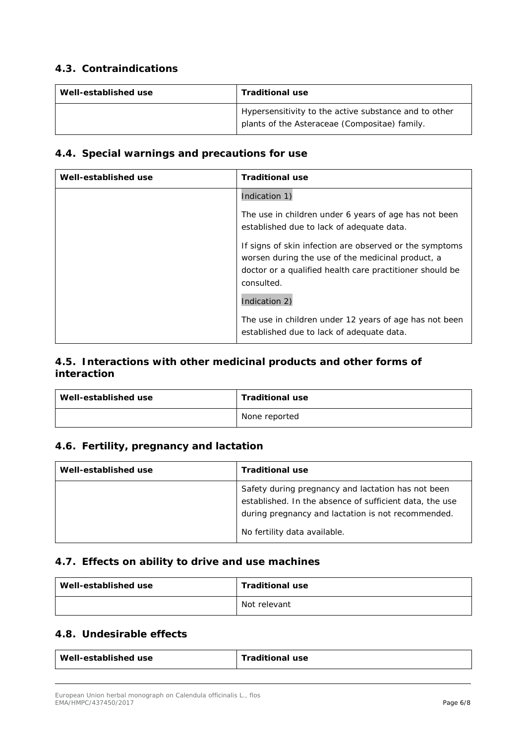#### *4.3. Contraindications*

| Well-established use | <b>Traditional use</b>                                                                                 |
|----------------------|--------------------------------------------------------------------------------------------------------|
|                      | Hypersensitivity to the active substance and to other<br>plants of the Asteraceae (Compositae) family. |

#### *4.4. Special warnings and precautions for use*

| Well-established use | <b>Traditional use</b>                                                                                                                                                                 |
|----------------------|----------------------------------------------------------------------------------------------------------------------------------------------------------------------------------------|
|                      | Indication 1)                                                                                                                                                                          |
|                      | The use in children under 6 years of age has not been<br>established due to lack of adequate data.                                                                                     |
|                      | If signs of skin infection are observed or the symptoms<br>worsen during the use of the medicinal product, a<br>doctor or a qualified health care practitioner should be<br>consulted. |
|                      | Indication 2)                                                                                                                                                                          |
|                      | The use in children under 12 years of age has not been<br>established due to lack of adequate data.                                                                                    |

#### *4.5. Interactions with other medicinal products and other forms of interaction*

| Well-established use | <b>Traditional use</b> |
|----------------------|------------------------|
|                      | None reported          |

#### *4.6. Fertility, pregnancy and lactation*

| Well-established use | <b>Traditional use</b>                                                                                                                                                                              |
|----------------------|-----------------------------------------------------------------------------------------------------------------------------------------------------------------------------------------------------|
|                      | Safety during pregnancy and lactation has not been<br>established. In the absence of sufficient data, the use<br>during pregnancy and lactation is not recommended.<br>No fertility data available. |

#### *4.7. Effects on ability to drive and use machines*

| Well-established use | <b>Traditional use</b> |
|----------------------|------------------------|
|                      | Not relevant           |

#### *4.8. Undesirable effects*

| Well-established use | <b>Traditional use</b> |
|----------------------|------------------------|
|                      |                        |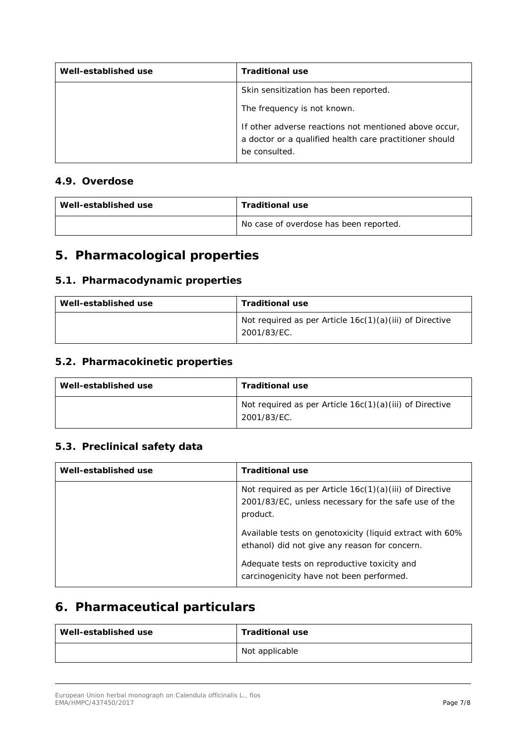| Well-established use | <b>Traditional use</b>                                                                                                            |
|----------------------|-----------------------------------------------------------------------------------------------------------------------------------|
|                      | Skin sensitization has been reported.                                                                                             |
|                      | The frequency is not known.                                                                                                       |
|                      | If other adverse reactions not mentioned above occur,<br>a doctor or a qualified health care practitioner should<br>be consulted. |

#### *4.9. Overdose*

| Well-established use | <b>Traditional use</b>                 |
|----------------------|----------------------------------------|
|                      | No case of overdose has been reported. |

### **5. Pharmacological properties**

#### *5.1. Pharmacodynamic properties*

| Well-established use | <b>Traditional use</b>                                                 |
|----------------------|------------------------------------------------------------------------|
|                      | Not required as per Article 16c(1)(a)(iii) of Directive<br>2001/83/EC. |

#### *5.2. Pharmacokinetic properties*

| Well-established use | <b>Traditional use</b>                                                   |
|----------------------|--------------------------------------------------------------------------|
|                      | Not required as per Article $16c(1)(a)(iii)$ of Directive<br>2001/83/EC. |

#### *5.3. Preclinical safety data*

| Well-established use | <b>Traditional use</b>                                                                                                      |
|----------------------|-----------------------------------------------------------------------------------------------------------------------------|
|                      | Not required as per Article 16c(1)(a)(iii) of Directive<br>2001/83/EC, unless necessary for the safe use of the<br>product. |
|                      | Available tests on genotoxicity (liquid extract with 60%<br>ethanol) did not give any reason for concern.                   |
|                      | Adequate tests on reproductive toxicity and<br>carcinogenicity have not been performed.                                     |

## **6. Pharmaceutical particulars**

| Well-established use | <b>Traditional use</b> |
|----------------------|------------------------|
|                      | Not applicable         |